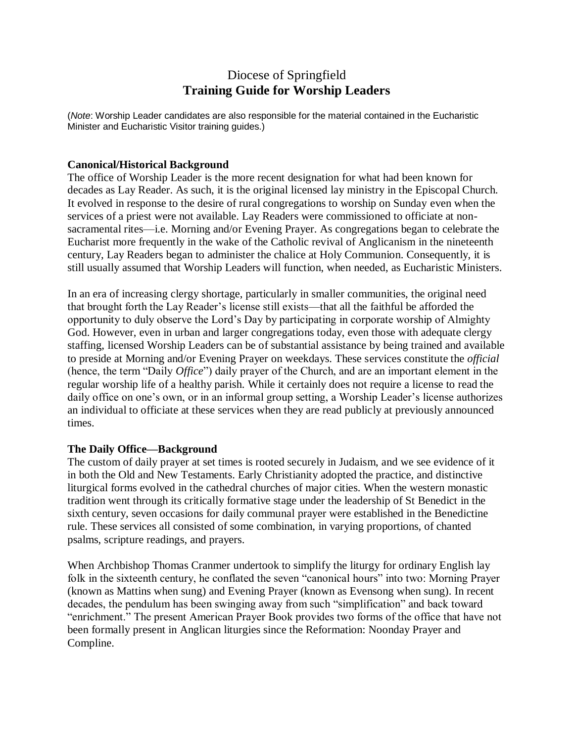## Diocese of Springfield **Training Guide for Worship Leaders**

(*Note*: Worship Leader candidates are also responsible for the material contained in the Eucharistic Minister and Eucharistic Visitor training guides.)

## **Canonical/Historical Background**

The office of Worship Leader is the more recent designation for what had been known for decades as Lay Reader. As such, it is the original licensed lay ministry in the Episcopal Church. It evolved in response to the desire of rural congregations to worship on Sunday even when the services of a priest were not available. Lay Readers were commissioned to officiate at nonsacramental rites—i.e. Morning and/or Evening Prayer. As congregations began to celebrate the Eucharist more frequently in the wake of the Catholic revival of Anglicanism in the nineteenth century, Lay Readers began to administer the chalice at Holy Communion. Consequently, it is still usually assumed that Worship Leaders will function, when needed, as Eucharistic Ministers.

In an era of increasing clergy shortage, particularly in smaller communities, the original need that brought forth the Lay Reader's license still exists—that all the faithful be afforded the opportunity to duly observe the Lord's Day by participating in corporate worship of Almighty God. However, even in urban and larger congregations today, even those with adequate clergy staffing, licensed Worship Leaders can be of substantial assistance by being trained and available to preside at Morning and/or Evening Prayer on weekdays. These services constitute the *official* (hence, the term "Daily *Office*") daily prayer of the Church, and are an important element in the regular worship life of a healthy parish. While it certainly does not require a license to read the daily office on one's own, or in an informal group setting, a Worship Leader's license authorizes an individual to officiate at these services when they are read publicly at previously announced times.

## **The Daily Office—Background**

The custom of daily prayer at set times is rooted securely in Judaism, and we see evidence of it in both the Old and New Testaments. Early Christianity adopted the practice, and distinctive liturgical forms evolved in the cathedral churches of major cities. When the western monastic tradition went through its critically formative stage under the leadership of St Benedict in the sixth century, seven occasions for daily communal prayer were established in the Benedictine rule. These services all consisted of some combination, in varying proportions, of chanted psalms, scripture readings, and prayers.

When Archbishop Thomas Cranmer undertook to simplify the liturgy for ordinary English lay folk in the sixteenth century, he conflated the seven "canonical hours" into two: Morning Prayer (known as Mattins when sung) and Evening Prayer (known as Evensong when sung). In recent decades, the pendulum has been swinging away from such "simplification" and back toward "enrichment." The present American Prayer Book provides two forms of the office that have not been formally present in Anglican liturgies since the Reformation: Noonday Prayer and Compline.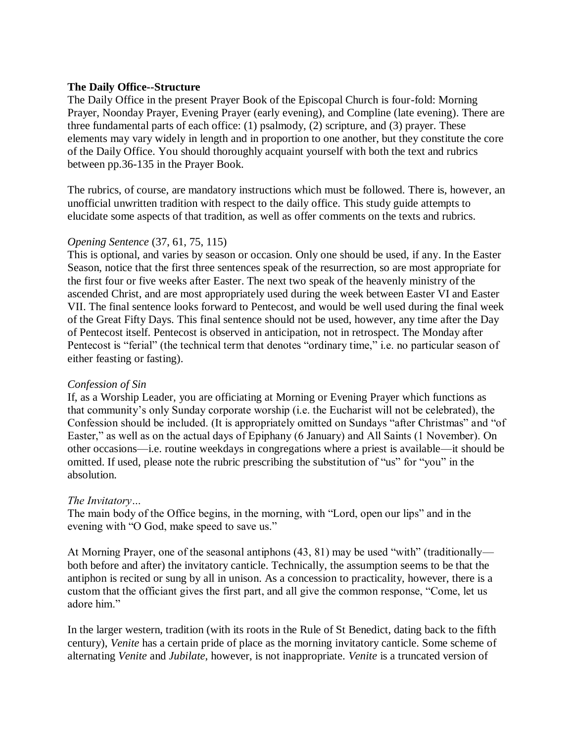#### **The Daily Office--Structure**

The Daily Office in the present Prayer Book of the Episcopal Church is four-fold: Morning Prayer, Noonday Prayer, Evening Prayer (early evening), and Compline (late evening). There are three fundamental parts of each office: (1) psalmody, (2) scripture, and (3) prayer. These elements may vary widely in length and in proportion to one another, but they constitute the core of the Daily Office. You should thoroughly acquaint yourself with both the text and rubrics between pp.36-135 in the Prayer Book.

The rubrics, of course, are mandatory instructions which must be followed. There is, however, an unofficial unwritten tradition with respect to the daily office. This study guide attempts to elucidate some aspects of that tradition, as well as offer comments on the texts and rubrics.

#### *Opening Sentence* (37, 61, 75, 115)

This is optional, and varies by season or occasion. Only one should be used, if any. In the Easter Season, notice that the first three sentences speak of the resurrection, so are most appropriate for the first four or five weeks after Easter. The next two speak of the heavenly ministry of the ascended Christ, and are most appropriately used during the week between Easter VI and Easter VII. The final sentence looks forward to Pentecost, and would be well used during the final week of the Great Fifty Days. This final sentence should not be used, however, any time after the Day of Pentecost itself. Pentecost is observed in anticipation, not in retrospect. The Monday after Pentecost is "ferial" (the technical term that denotes "ordinary time," i.e. no particular season of either feasting or fasting).

#### *Confession of Sin*

If, as a Worship Leader, you are officiating at Morning or Evening Prayer which functions as that community's only Sunday corporate worship (i.e. the Eucharist will not be celebrated), the Confession should be included. (It is appropriately omitted on Sundays "after Christmas" and "of Easter," as well as on the actual days of Epiphany (6 January) and All Saints (1 November). On other occasions—i.e. routine weekdays in congregations where a priest is available—it should be omitted. If used, please note the rubric prescribing the substitution of "us" for "you" in the absolution.

#### *The Invitatory…*

The main body of the Office begins, in the morning, with "Lord, open our lips" and in the evening with "O God, make speed to save us."

At Morning Prayer, one of the seasonal antiphons (43, 81) may be used "with" (traditionally both before and after) the invitatory canticle. Technically, the assumption seems to be that the antiphon is recited or sung by all in unison. As a concession to practicality, however, there is a custom that the officiant gives the first part, and all give the common response, "Come, let us adore him."

In the larger western, tradition (with its roots in the Rule of St Benedict, dating back to the fifth century), *Venite* has a certain pride of place as the morning invitatory canticle. Some scheme of alternating *Venite* and *Jubilate*, however, is not inappropriate. *Venite* is a truncated version of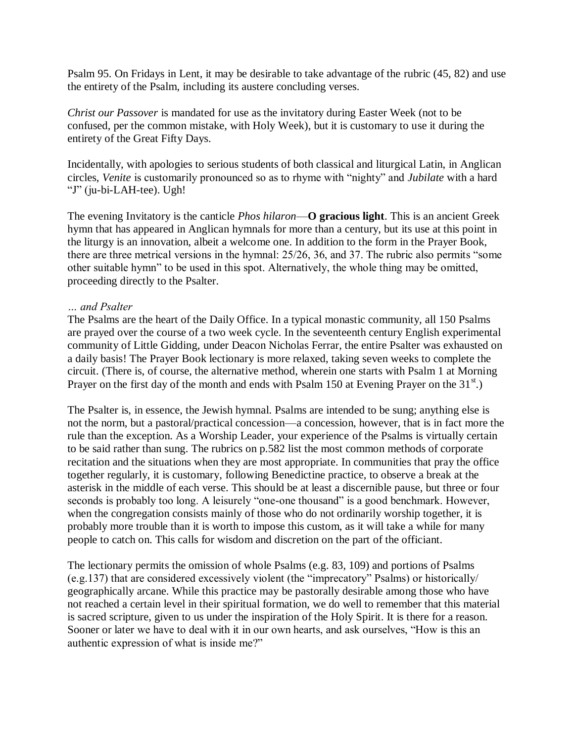Psalm 95. On Fridays in Lent, it may be desirable to take advantage of the rubric (45, 82) and use the entirety of the Psalm, including its austere concluding verses.

*Christ our Passover* is mandated for use as the invitatory during Easter Week (not to be confused, per the common mistake, with Holy Week), but it is customary to use it during the entirety of the Great Fifty Days.

Incidentally, with apologies to serious students of both classical and liturgical Latin, in Anglican circles, *Venite* is customarily pronounced so as to rhyme with "nighty" and *Jubilate* with a hard "J" (ju-bi-LAH-tee). Ugh!

The evening Invitatory is the canticle *Phos hilaron*—**O gracious light**. This is an ancient Greek hymn that has appeared in Anglican hymnals for more than a century, but its use at this point in the liturgy is an innovation, albeit a welcome one. In addition to the form in the Prayer Book, there are three metrical versions in the hymnal: 25/26, 36, and 37. The rubric also permits "some other suitable hymn" to be used in this spot. Alternatively, the whole thing may be omitted, proceeding directly to the Psalter.

#### *… and Psalter*

The Psalms are the heart of the Daily Office. In a typical monastic community, all 150 Psalms are prayed over the course of a two week cycle. In the seventeenth century English experimental community of Little Gidding, under Deacon Nicholas Ferrar, the entire Psalter was exhausted on a daily basis! The Prayer Book lectionary is more relaxed, taking seven weeks to complete the circuit. (There is, of course, the alternative method, wherein one starts with Psalm 1 at Morning Prayer on the first day of the month and ends with Psalm 150 at Evening Prayer on the  $31<sup>st</sup>$ .)

The Psalter is, in essence, the Jewish hymnal. Psalms are intended to be sung; anything else is not the norm, but a pastoral/practical concession—a concession, however, that is in fact more the rule than the exception. As a Worship Leader, your experience of the Psalms is virtually certain to be said rather than sung. The rubrics on p.582 list the most common methods of corporate recitation and the situations when they are most appropriate. In communities that pray the office together regularly, it is customary, following Benedictine practice, to observe a break at the asterisk in the middle of each verse. This should be at least a discernible pause, but three or four seconds is probably too long. A leisurely "one-one thousand" is a good benchmark. However, when the congregation consists mainly of those who do not ordinarily worship together, it is probably more trouble than it is worth to impose this custom, as it will take a while for many people to catch on. This calls for wisdom and discretion on the part of the officiant.

The lectionary permits the omission of whole Psalms (e.g. 83, 109) and portions of Psalms (e.g.137) that are considered excessively violent (the "imprecatory" Psalms) or historically/ geographically arcane. While this practice may be pastorally desirable among those who have not reached a certain level in their spiritual formation, we do well to remember that this material is sacred scripture, given to us under the inspiration of the Holy Spirit. It is there for a reason. Sooner or later we have to deal with it in our own hearts, and ask ourselves, "How is this an authentic expression of what is inside me?"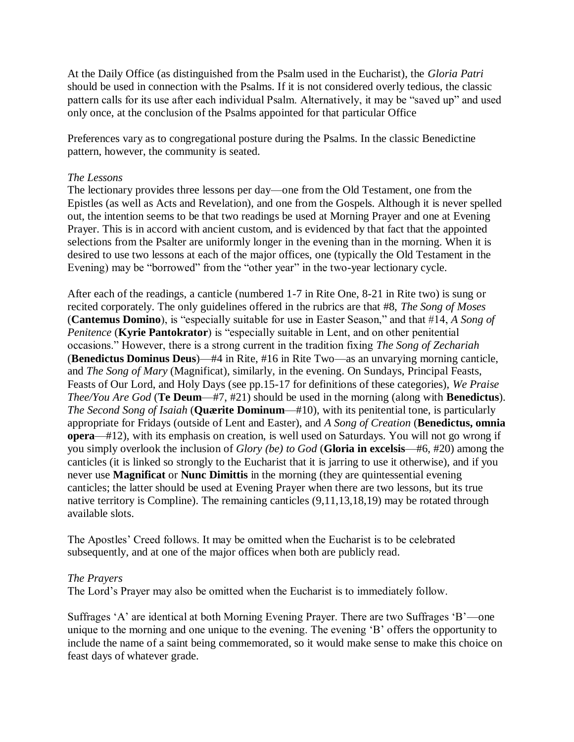At the Daily Office (as distinguished from the Psalm used in the Eucharist), the *Gloria Patri* should be used in connection with the Psalms. If it is not considered overly tedious, the classic pattern calls for its use after each individual Psalm. Alternatively, it may be "saved up" and used only once, at the conclusion of the Psalms appointed for that particular Office

Preferences vary as to congregational posture during the Psalms. In the classic Benedictine pattern, however, the community is seated.

#### *The Lessons*

The lectionary provides three lessons per day—one from the Old Testament, one from the Epistles (as well as Acts and Revelation), and one from the Gospels. Although it is never spelled out, the intention seems to be that two readings be used at Morning Prayer and one at Evening Prayer. This is in accord with ancient custom, and is evidenced by that fact that the appointed selections from the Psalter are uniformly longer in the evening than in the morning. When it is desired to use two lessons at each of the major offices, one (typically the Old Testament in the Evening) may be "borrowed" from the "other year" in the two-year lectionary cycle.

After each of the readings, a canticle (numbered 1-7 in Rite One, 8-21 in Rite two) is sung or recited corporately. The only guidelines offered in the rubrics are that #8, *The Song of Moses* (**Cantemus Domino**), is "especially suitable for use in Easter Season," and that #14, *A Song of Penitence* (**Kyrie Pantokrator**) is "especially suitable in Lent, and on other penitential occasions." However, there is a strong current in the tradition fixing *The Song of Zechariah* (**Benedictus Dominus Deus**)—#4 in Rite, #16 in Rite Two—as an unvarying morning canticle, and *The Song of Mary* (Magnificat), similarly, in the evening. On Sundays, Principal Feasts, Feasts of Our Lord, and Holy Days (see pp.15-17 for definitions of these categories), *We Praise Thee/You Are God* (**Te Deum**—#7, #21) should be used in the morning (along with **Benedictus**). *The Second Song of Isaiah* (**Quærite Dominum**—#10), with its penitential tone, is particularly appropriate for Fridays (outside of Lent and Easter), and *A Song of Creation* (**Benedictus, omnia opera**—#12), with its emphasis on creation, is well used on Saturdays. You will not go wrong if you simply overlook the inclusion of *Glory (be) to God* (**Gloria in excelsis**—#6, #20) among the canticles (it is linked so strongly to the Eucharist that it is jarring to use it otherwise), and if you never use **Magnificat** or **Nunc Dimittis** in the morning (they are quintessential evening canticles; the latter should be used at Evening Prayer when there are two lessons, but its true native territory is Compline). The remaining canticles (9,11,13,18,19) may be rotated through available slots.

The Apostles' Creed follows. It may be omitted when the Eucharist is to be celebrated subsequently, and at one of the major offices when both are publicly read.

#### *The Prayers*

The Lord's Prayer may also be omitted when the Eucharist is to immediately follow.

Suffrages 'A' are identical at both Morning Evening Prayer. There are two Suffrages 'B'—one unique to the morning and one unique to the evening. The evening 'B' offers the opportunity to include the name of a saint being commemorated, so it would make sense to make this choice on feast days of whatever grade.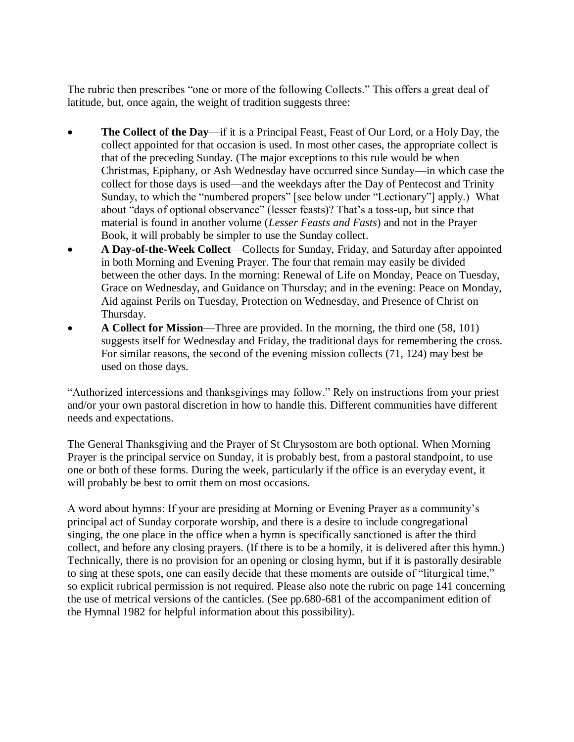The rubric then prescribes "one or more of the following Collects." This offers a great deal of latitude, but, once again, the weight of tradition suggests three:

- **The Collect of the Day**—if it is a Principal Feast, Feast of Our Lord, or a Holy Day, the collect appointed for that occasion is used. In most other cases, the appropriate collect is that of the preceding Sunday. (The major exceptions to this rule would be when Christmas, Epiphany, or Ash Wednesday have occurred since Sunday—in which case the collect for those days is used—and the weekdays after the Day of Pentecost and Trinity Sunday, to which the "numbered propers" [see below under "Lectionary"] apply.) What about "days of optional observance" (lesser feasts)? That's a toss-up, but since that material is found in another volume (*Lesser Feasts and Fasts*) and not in the Prayer Book, it will probably be simpler to use the Sunday collect.
- **A Day-of-the-Week Collect**—Collects for Sunday, Friday, and Saturday after appointed in both Morning and Evening Prayer. The four that remain may easily be divided between the other days. In the morning: Renewal of Life on Monday, Peace on Tuesday, Grace on Wednesday, and Guidance on Thursday; and in the evening: Peace on Monday, Aid against Perils on Tuesday, Protection on Wednesday, and Presence of Christ on Thursday.
- **A Collect for Mission**—Three are provided. In the morning, the third one (58, 101) suggests itself for Wednesday and Friday, the traditional days for remembering the cross. For similar reasons, the second of the evening mission collects (71, 124) may best be used on those days.

"Authorized intercessions and thanksgivings may follow." Rely on instructions from your priest and/or your own pastoral discretion in how to handle this. Different communities have different needs and expectations.

The General Thanksgiving and the Prayer of St Chrysostom are both optional. When Morning Prayer is the principal service on Sunday, it is probably best, from a pastoral standpoint, to use one or both of these forms. During the week, particularly if the office is an everyday event, it will probably be best to omit them on most occasions.

A word about hymns: If your are presiding at Morning or Evening Prayer as a community's principal act of Sunday corporate worship, and there is a desire to include congregational singing, the one place in the office when a hymn is specifically sanctioned is after the third collect, and before any closing prayers. (If there is to be a homily, it is delivered after this hymn.) Technically, there is no provision for an opening or closing hymn, but if it is pastorally desirable to sing at these spots, one can easily decide that these moments are outside of "liturgical time," so explicit rubrical permission is not required. Please also note the rubric on page 141 concerning the use of metrical versions of the canticles. (See pp.680-681 of the accompaniment edition of the Hymnal 1982 for helpful information about this possibility).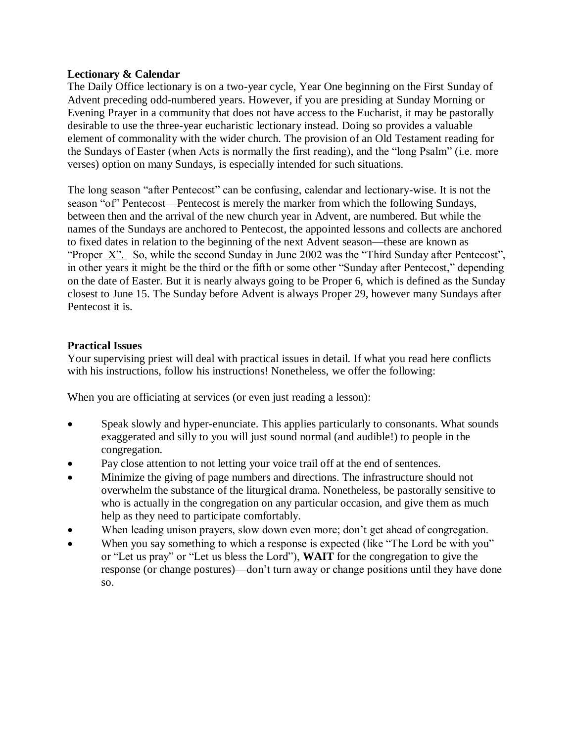#### **Lectionary & Calendar**

The Daily Office lectionary is on a two-year cycle, Year One beginning on the First Sunday of Advent preceding odd-numbered years. However, if you are presiding at Sunday Morning or Evening Prayer in a community that does not have access to the Eucharist, it may be pastorally desirable to use the three-year eucharistic lectionary instead. Doing so provides a valuable element of commonality with the wider church. The provision of an Old Testament reading for the Sundays of Easter (when Acts is normally the first reading), and the "long Psalm" (i.e. more verses) option on many Sundays, is especially intended for such situations.

The long season "after Pentecost" can be confusing, calendar and lectionary-wise. It is not the season "of" Pentecost—Pentecost is merely the marker from which the following Sundays, between then and the arrival of the new church year in Advent, are numbered. But while the names of the Sundays are anchored to Pentecost, the appointed lessons and collects are anchored to fixed dates in relation to the beginning of the next Advent season—these are known as "Proper X". So, while the second Sunday in June 2002 was the "Third Sunday after Pentecost", in other years it might be the third or the fifth or some other "Sunday after Pentecost," depending on the date of Easter. But it is nearly always going to be Proper 6, which is defined as the Sunday closest to June 15. The Sunday before Advent is always Proper 29, however many Sundays after Pentecost it is.

## **Practical Issues**

Your supervising priest will deal with practical issues in detail. If what you read here conflicts with his instructions, follow his instructions! Nonetheless, we offer the following:

When you are officiating at services (or even just reading a lesson):

- Speak slowly and hyper-enunciate. This applies particularly to consonants. What sounds exaggerated and silly to you will just sound normal (and audible!) to people in the congregation.
- Pay close attention to not letting your voice trail off at the end of sentences.
- Minimize the giving of page numbers and directions. The infrastructure should not overwhelm the substance of the liturgical drama. Nonetheless, be pastorally sensitive to who is actually in the congregation on any particular occasion, and give them as much help as they need to participate comfortably.
- When leading unison prayers, slow down even more; don't get ahead of congregation.
- When you say something to which a response is expected (like "The Lord be with you" or "Let us pray" or "Let us bless the Lord"), **WAIT** for the congregation to give the response (or change postures)—don't turn away or change positions until they have done so.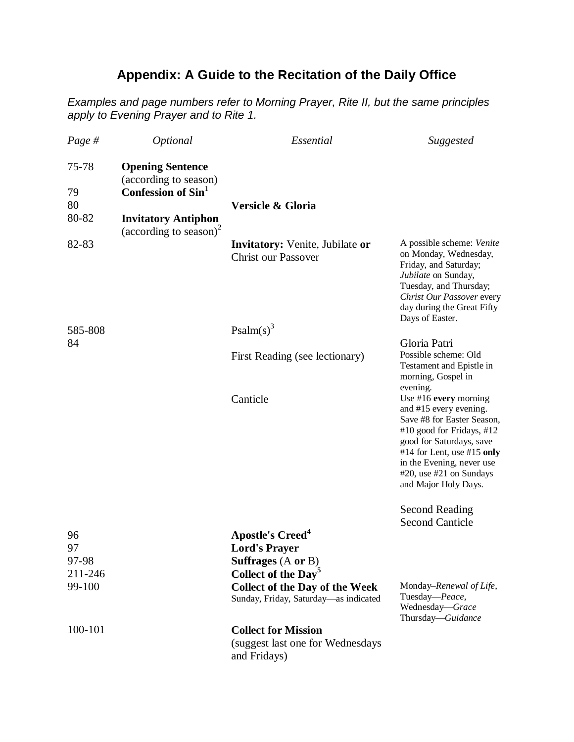# **Appendix: A Guide to the Recitation of the Daily Office**

*Examples and page numbers refer to Morning Prayer, Rite II, but the same principles apply to Evening Prayer and to Rite 1.*

| Page $#$      | Optional                                                              | Essential                                                                      | Suggested                                                                                                                                                                                                                                                   |
|---------------|-----------------------------------------------------------------------|--------------------------------------------------------------------------------|-------------------------------------------------------------------------------------------------------------------------------------------------------------------------------------------------------------------------------------------------------------|
| 75-78<br>79   | <b>Opening Sentence</b><br>(according to season)<br>Confession of Sin |                                                                                |                                                                                                                                                                                                                                                             |
| 80            |                                                                       | Versicle & Gloria                                                              |                                                                                                                                                                                                                                                             |
| 80-82         | <b>Invitatory Antiphon</b><br>(according to season) <sup>2</sup>      |                                                                                |                                                                                                                                                                                                                                                             |
| 82-83         |                                                                       | <b>Invitatory:</b> Venite, Jubilate or<br><b>Christ our Passover</b>           | A possible scheme: Venite<br>on Monday, Wednesday,<br>Friday, and Saturday;<br>Jubilate on Sunday,<br>Tuesday, and Thursday;<br>Christ Our Passover every<br>day during the Great Fifty<br>Days of Easter.                                                  |
| 585-808<br>84 |                                                                       | Psalm(s) <sup>3</sup>                                                          |                                                                                                                                                                                                                                                             |
|               |                                                                       | First Reading (see lectionary)                                                 | Gloria Patri<br>Possible scheme: Old                                                                                                                                                                                                                        |
|               |                                                                       |                                                                                | Testament and Epistle in<br>morning, Gospel in<br>evening.                                                                                                                                                                                                  |
|               |                                                                       | Canticle                                                                       | Use $#16$ every morning<br>and #15 every evening.<br>Save #8 for Easter Season,<br>#10 good for Fridays, #12<br>good for Saturdays, save<br>#14 for Lent, use #15 only<br>in the Evening, never use<br>$#20$ , use $#21$ on Sundays<br>and Major Holy Days. |
|               |                                                                       |                                                                                | <b>Second Reading</b>                                                                                                                                                                                                                                       |
|               |                                                                       |                                                                                | <b>Second Canticle</b>                                                                                                                                                                                                                                      |
| 96<br>97      |                                                                       | <b>Apostle's Creed<sup>4</sup></b>                                             |                                                                                                                                                                                                                                                             |
| 97-98         |                                                                       | <b>Lord's Prayer</b><br>Suffrages (A or B)                                     |                                                                                                                                                                                                                                                             |
| 211-246       |                                                                       | Collect of the Day <sup>5</sup>                                                |                                                                                                                                                                                                                                                             |
| 99-100        |                                                                       | <b>Collect of the Day of the Week</b><br>Sunday, Friday, Saturday-as indicated | Monday-Renewal of Life,<br>Tuesday-Peace,<br>Wednesday-Grace<br>Thursday-Guidance                                                                                                                                                                           |
| 100-101       |                                                                       | <b>Collect for Mission</b><br>(suggest last one for Wednesdays<br>and Fridays) |                                                                                                                                                                                                                                                             |